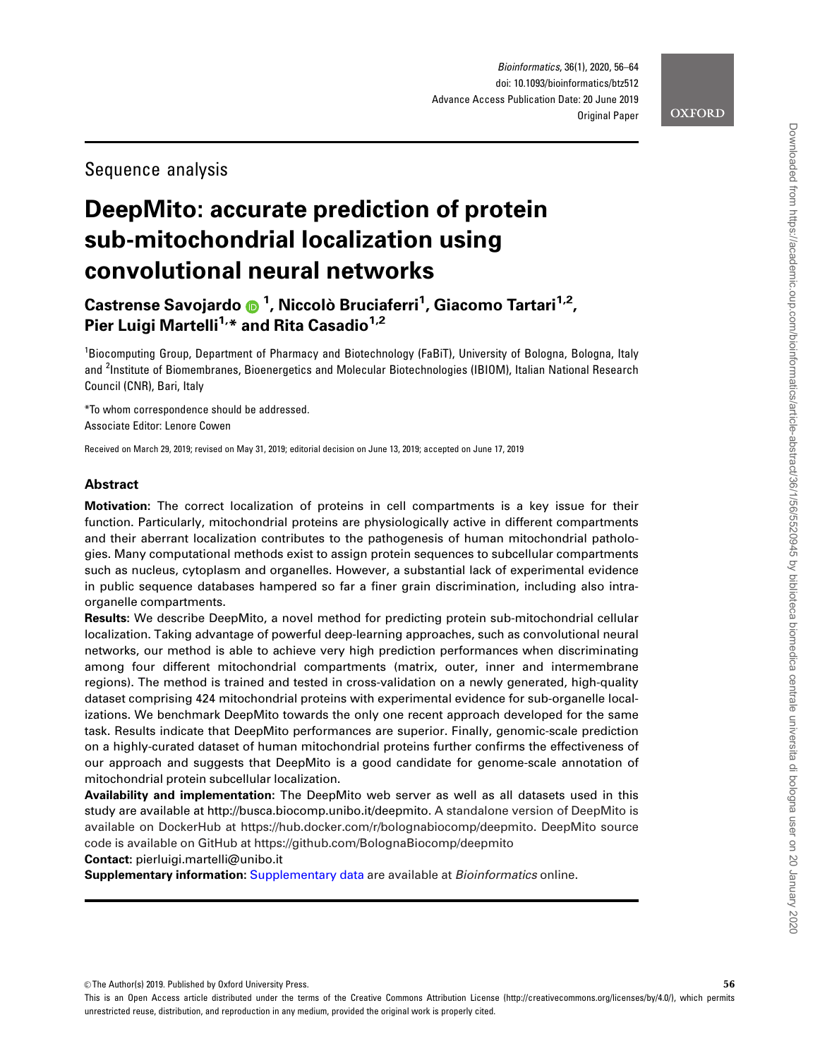**OXFORD** 

# Sequence analysis

# DeepMito: accurate prediction of protein sub-mitochondrial localization using convolutional neural networks

# Castrense Savojardo <sup>1</sup> , Niccolo` Bruciaferri1 , Giacomo Tartari1,2, Pier Luigi Martelli<sup>1,\*</sup> and Rita Casadio<sup>1,2</sup>

<sup>1</sup>Biocomputing Group, Department of Pharmacy and Biotechnology (FaBiT), University of Bologna, Bologna, Italy and <sup>2</sup>Institute of Biomembranes, Bioenergetics and Molecular Biotechnologies (IBIOM), Italian National Research Council (CNR), Bari, Italy

\*To whom correspondence should be addressed. Associate Editor: Lenore Cowen

Received on March 29, 2019; revised on May 31, 2019; editorial decision on June 13, 2019; accepted on June 17, 2019

# Abstract

Motivation: The correct localization of proteins in cell compartments is a key issue for their function. Particularly, mitochondrial proteins are physiologically active in different compartments and their aberrant localization contributes to the pathogenesis of human mitochondrial pathologies. Many computational methods exist to assign protein sequences to subcellular compartments such as nucleus, cytoplasm and organelles. However, a substantial lack of experimental evidence in public sequence databases hampered so far a finer grain discrimination, including also intraorganelle compartments.

Results: We describe DeepMito, a novel method for predicting protein sub-mitochondrial cellular localization. Taking advantage of powerful deep-learning approaches, such as convolutional neural networks, our method is able to achieve very high prediction performances when discriminating among four different mitochondrial compartments (matrix, outer, inner and intermembrane regions). The method is trained and tested in cross-validation on a newly generated, high-quality dataset comprising 424 mitochondrial proteins with experimental evidence for sub-organelle localizations. We benchmark DeepMito towards the only one recent approach developed for the same task. Results indicate that DeepMito performances are superior. Finally, genomic-scale prediction on a highly-curated dataset of human mitochondrial proteins further confirms the effectiveness of our approach and suggests that DeepMito is a good candidate for genome-scale annotation of mitochondrial protein subcellular localization.

Availability and implementation: The DeepMito web server as well as all datasets used in this study are available at [http://busca.biocomp.unibo.it/deepmito.](http://busca.biocomp.unibo.it/deepmito) A standalone version of DeepMito is available on DockerHub at [https://hub.docker.com/r/bolognabiocomp/deepmito.](https://hub.docker.com/r/bolognabiocomp/deepmito) DeepMito source code is available on GitHub at<https://github.com/BolognaBiocomp/deepmito>

Contact: pierluigi.martelli@unibo.it

Supplementary information: [Supplementary data](https://academic.oup.com/bioinformatics/article-lookup/doi/10.1093/bioinformatics/btz512#supplementary-data) are available at Bioinformatics online.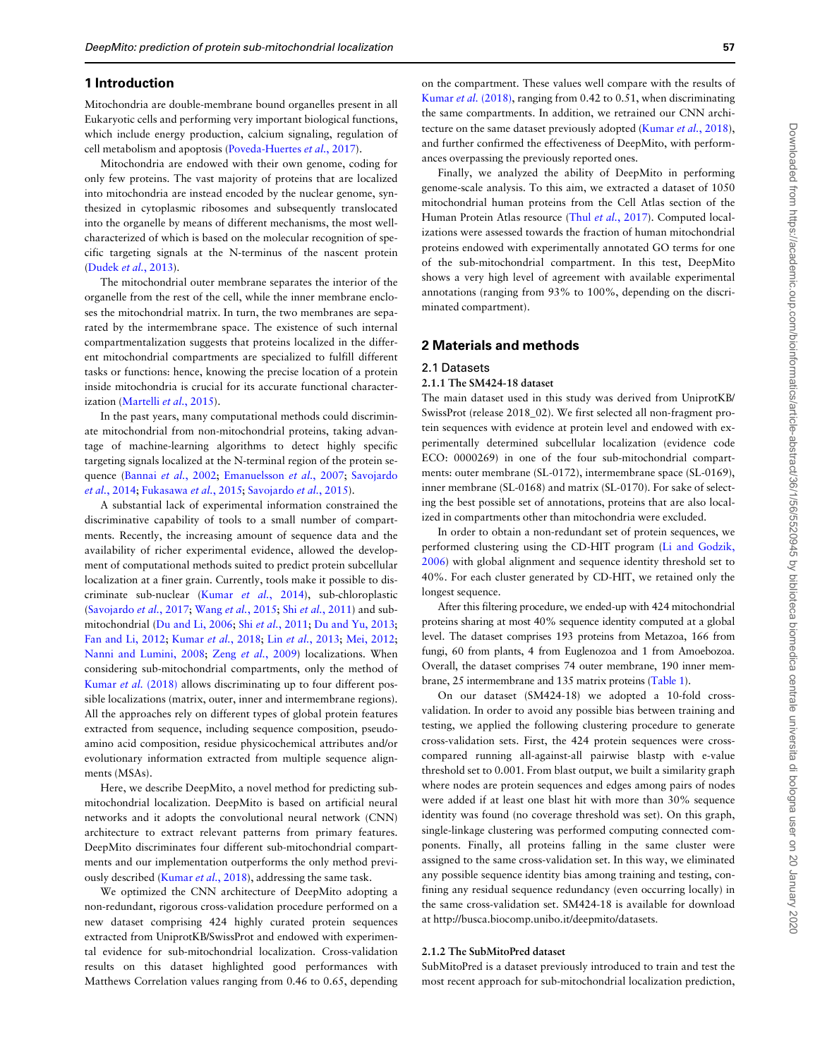## 1 Introduction

Mitochondria are double-membrane bound organelles present in all Eukaryotic cells and performing very important biological functions, which include energy production, calcium signaling, regulation of cell metabolism and apoptosis ([Poveda-Huertes](#page-8-0) et al., 2017).

Mitochondria are endowed with their own genome, coding for only few proteins. The vast majority of proteins that are localized into mitochondria are instead encoded by the nuclear genome, synthesized in cytoplasmic ribosomes and subsequently translocated into the organelle by means of different mechanisms, the most wellcharacterized of which is based on the molecular recognition of specific targeting signals at the N-terminus of the nascent protein ([Dudek](#page-7-0) et al., 2013).

The mitochondrial outer membrane separates the interior of the organelle from the rest of the cell, while the inner membrane encloses the mitochondrial matrix. In turn, the two membranes are separated by the intermembrane space. The existence of such internal compartmentalization suggests that proteins localized in the different mitochondrial compartments are specialized to fulfill different tasks or functions: hence, knowing the precise location of a protein inside mitochondria is crucial for its accurate functional character-ization [\(Martelli](#page-7-0) et al., 2015).

In the past years, many computational methods could discriminate mitochondrial from non-mitochondrial proteins, taking advantage of machine-learning algorithms to detect highly specific targeting signals localized at the N-terminal region of the protein sequence [\(Bannai](#page-7-0) et al., 2002; [Emanuelsson](#page-7-0) et al., 2007; [Savojardo](#page-8-0) et al.[, 2014;](#page-8-0) [Fukasawa](#page-7-0) et al., 2015; [Savojardo](#page-8-0) et al., 2015).

A substantial lack of experimental information constrained the discriminative capability of tools to a small number of compartments. Recently, the increasing amount of sequence data and the availability of richer experimental evidence, allowed the development of computational methods suited to predict protein subcellular localization at a finer grain. Currently, tools make it possible to discriminate sub-nuclear (Kumar et al.[, 2014](#page-7-0)), sub-chloroplastic ([Savojardo](#page-8-0) et al., 2017; Wang et al.[, 2015;](#page-8-0) Shi et al.[, 2011\)](#page-8-0) and submitochondrial ([Du and Li, 2006;](#page-7-0) Shi et al.[, 2011](#page-8-0); [Du and Yu, 2013;](#page-7-0) [Fan and Li, 2012;](#page-7-0) [Kumar](#page-7-0) et al., 2018; Lin et al.[, 2013;](#page-7-0) [Mei, 2012;](#page-7-0) [Nanni and Lumini, 2008](#page-7-0); Zeng et al.[, 2009\)](#page-8-0) localizations. When considering sub-mitochondrial compartments, only the method of [Kumar](#page-7-0) et al. (2018) allows discriminating up to four different possible localizations (matrix, outer, inner and intermembrane regions). All the approaches rely on different types of global protein features extracted from sequence, including sequence composition, pseudoamino acid composition, residue physicochemical attributes and/or evolutionary information extracted from multiple sequence alignments (MSAs).

Here, we describe DeepMito, a novel method for predicting submitochondrial localization. DeepMito is based on artificial neural networks and it adopts the convolutional neural network (CNN) architecture to extract relevant patterns from primary features. DeepMito discriminates four different sub-mitochondrial compartments and our implementation outperforms the only method previ-ously described [\(Kumar](#page-7-0) et al., 2018), addressing the same task.

We optimized the CNN architecture of DeepMito adopting a non-redundant, rigorous cross-validation procedure performed on a new dataset comprising 424 highly curated protein sequences extracted from UniprotKB/SwissProt and endowed with experimental evidence for sub-mitochondrial localization. Cross-validation results on this dataset highlighted good performances with Matthews Correlation values ranging from 0.46 to 0.65, depending

on the compartment. These values well compare with the results of [Kumar](#page-7-0) et al. (2018), ranging from 0.42 to 0.51, when discriminating the same compartments. In addition, we retrained our CNN archi-tecture on the same dataset previously adopted ([Kumar](#page-7-0) et al., 2018), and further confirmed the effectiveness of DeepMito, with performances overpassing the previously reported ones.

Finally, we analyzed the ability of DeepMito in performing genome-scale analysis. To this aim, we extracted a dataset of 1050 mitochondrial human proteins from the Cell Atlas section of the Human Protein Atlas resource (Thul et al.[, 2017\)](#page-8-0). Computed localizations were assessed towards the fraction of human mitochondrial proteins endowed with experimentally annotated GO terms for one of the sub-mitochondrial compartment. In this test, DeepMito shows a very high level of agreement with available experimental annotations (ranging from 93% to 100%, depending on the discriminated compartment).

## 2 Materials and methods

#### 2.1 Datasets

#### 2.1.1 The SM424-18 dataset

The main dataset used in this study was derived from UniprotKB/ SwissProt (release 2018\_02). We first selected all non-fragment protein sequences with evidence at protein level and endowed with experimentally determined subcellular localization (evidence code ECO: 0000269) in one of the four sub-mitochondrial compartments: outer membrane (SL-0172), intermembrane space (SL-0169), inner membrane (SL-0168) and matrix (SL-0170). For sake of selecting the best possible set of annotations, proteins that are also localized in compartments other than mitochondria were excluded.

In order to obtain a non-redundant set of protein sequences, we performed clustering using the CD-HIT program ([Li and Godzik,](#page-7-0) [2006\)](#page-7-0) with global alignment and sequence identity threshold set to 40%. For each cluster generated by CD-HIT, we retained only the longest sequence.

After this filtering procedure, we ended-up with 424 mitochondrial proteins sharing at most 40% sequence identity computed at a global level. The dataset comprises 193 proteins from Metazoa, 166 from fungi, 60 from plants, 4 from Euglenozoa and 1 from Amoebozoa. Overall, the dataset comprises 74 outer membrane, 190 inner membrane, 25 intermembrane and 135 matrix proteins [\(Table 1\)](#page-2-0).

On our dataset (SM424-18) we adopted a 10-fold crossvalidation. In order to avoid any possible bias between training and testing, we applied the following clustering procedure to generate cross-validation sets. First, the 424 protein sequences were crosscompared running all-against-all pairwise blastp with e-value threshold set to 0.001. From blast output, we built a similarity graph where nodes are protein sequences and edges among pairs of nodes were added if at least one blast hit with more than 30% sequence identity was found (no coverage threshold was set). On this graph, single-linkage clustering was performed computing connected components. Finally, all proteins falling in the same cluster were assigned to the same cross-validation set. In this way, we eliminated any possible sequence identity bias among training and testing, confining any residual sequence redundancy (even occurring locally) in the same cross-validation set. SM424-18 is available for download at<http://busca.biocomp.unibo.it/deepmito/datasets>.

#### 2.1.2 The SubMitoPred dataset

SubMitoPred is a dataset previously introduced to train and test the most recent approach for sub-mitochondrial localization prediction,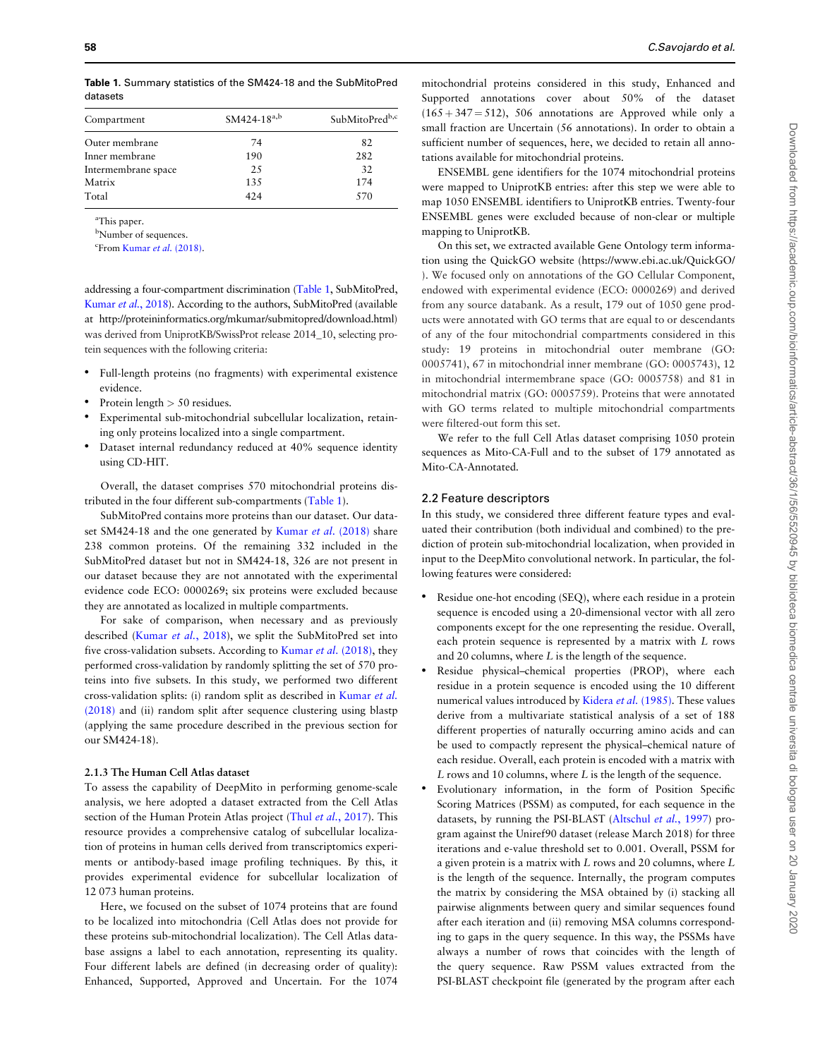Compartment SM424-18<sup>a,b</sup> SubMitoPred<sup>b,c</sup> Outer membrane 74 82 Inner membrane 190 282 Intermembrane space 25 25 32 Matrix 135 174 Total 424 570

<span id="page-2-0"></span>Table 1. Summary statistics of the SM424-18 and the SubMitoPred datasets

a This paper.

<sup>b</sup>Number of sequences.

<sup>c</sup>From [Kumar](#page-7-0) et al. (2018).

addressing a four-compartment discrimination (Table 1, SubMitoPred, [Kumar](#page-7-0) et al., 2018). According to the authors, SubMitoPred (available at<http://proteininformatics.org/mkumar/submitopred/download.html>) was derived from UniprotKB/SwissProt release 2014\_10, selecting protein sequences with the following criteria:

- Full-length proteins (no fragments) with experimental existence evidence.
- Protein length  $> 50$  residues.
- Experimental sub-mitochondrial subcellular localization, retaining only proteins localized into a single compartment.
- Dataset internal redundancy reduced at 40% sequence identity using CD-HIT.

Overall, the dataset comprises 570 mitochondrial proteins distributed in the four different sub-compartments (Table 1).

SubMitoPred contains more proteins than our dataset. Our data-set SM424-18 and the one generated by Kumar et al[. \(2018\)](#page-7-0) share 238 common proteins. Of the remaining 332 included in the SubMitoPred dataset but not in SM424-18, 326 are not present in our dataset because they are not annotated with the experimental evidence code ECO: 0000269; six proteins were excluded because they are annotated as localized in multiple compartments.

For sake of comparison, when necessary and as previously described [\(Kumar](#page-7-0) et al., 2018), we split the SubMitoPred set into five cross-validation subsets. According to [Kumar](#page-7-0) et al. (2018), they performed cross-validation by randomly splitting the set of 570 proteins into five subsets. In this study, we performed two different cross-validation splits: (i) random split as described in [Kumar](#page-7-0) et al. [\(2018\)](#page-7-0) and (ii) random split after sequence clustering using blastp (applying the same procedure described in the previous section for our SM424-18).

#### 2.1.3 The Human Cell Atlas dataset

To assess the capability of DeepMito in performing genome-scale analysis, we here adopted a dataset extracted from the Cell Atlas section of the Human Protein Atlas project (Thul et al.[, 2017\)](#page-8-0). This resource provides a comprehensive catalog of subcellular localization of proteins in human cells derived from transcriptomics experiments or antibody-based image profiling techniques. By this, it provides experimental evidence for subcellular localization of 12 073 human proteins.

Here, we focused on the subset of 1074 proteins that are found to be localized into mitochondria (Cell Atlas does not provide for these proteins sub-mitochondrial localization). The Cell Atlas database assigns a label to each annotation, representing its quality. Four different labels are defined (in decreasing order of quality): Enhanced, Supported, Approved and Uncertain. For the 1074

mitochondrial proteins considered in this study, Enhanced and Supported annotations cover about 50% of the dataset  $(165 + 347 = 512)$ , 506 annotations are Approved while only a small fraction are Uncertain (56 annotations). In order to obtain a sufficient number of sequences, here, we decided to retain all annotations available for mitochondrial proteins.

ENSEMBL gene identifiers for the 1074 mitochondrial proteins were mapped to UniprotKB entries: after this step we were able to map 1050 ENSEMBL identifiers to UniprotKB entries. Twenty-four ENSEMBL genes were excluded because of non-clear or multiple mapping to UniprotKB.

On this set, we extracted available Gene Ontology term information using the QuickGO website (<https://www.ebi.ac.uk/QuickGO/> ). We focused only on annotations of the GO Cellular Component, endowed with experimental evidence (ECO: 0000269) and derived from any source databank. As a result, 179 out of 1050 gene products were annotated with GO terms that are equal to or descendants of any of the four mitochondrial compartments considered in this study: 19 proteins in mitochondrial outer membrane (GO: 0005741), 67 in mitochondrial inner membrane (GO: 0005743), 12 in mitochondrial intermembrane space (GO: 0005758) and 81 in mitochondrial matrix (GO: 0005759). Proteins that were annotated with GO terms related to multiple mitochondrial compartments were filtered-out form this set.

We refer to the full Cell Atlas dataset comprising 1050 protein sequences as Mito-CA-Full and to the subset of 179 annotated as Mito-CA-Annotated.

# 2.2 Feature descriptors

In this study, we considered three different feature types and evaluated their contribution (both individual and combined) to the prediction of protein sub-mitochondrial localization, when provided in input to the DeepMito convolutional network. In particular, the following features were considered:

- Residue one-hot encoding (SEQ), where each residue in a protein sequence is encoded using a 20-dimensional vector with all zero components except for the one representing the residue. Overall, each protein sequence is represented by a matrix with L rows and 20 columns, where  $L$  is the length of the sequence.
- Residue physical-chemical properties (PROP), where each residue in a protein sequence is encoded using the 10 different numerical values introduced by Kidera et al. [\(1985\).](#page-7-0) These values derive from a multivariate statistical analysis of a set of 188 different properties of naturally occurring amino acids and can be used to compactly represent the physical–chemical nature of each residue. Overall, each protein is encoded with a matrix with L rows and 10 columns, where L is the length of the sequence.
- Evolutionary information, in the form of Position Specific Scoring Matrices (PSSM) as computed, for each sequence in the datasets, by running the PSI-BLAST ([Altschul](#page-7-0) et al., 1997) program against the Uniref90 dataset (release March 2018) for three iterations and e-value threshold set to 0.001. Overall, PSSM for a given protein is a matrix with L rows and 20 columns, where L is the length of the sequence. Internally, the program computes the matrix by considering the MSA obtained by (i) stacking all pairwise alignments between query and similar sequences found after each iteration and (ii) removing MSA columns corresponding to gaps in the query sequence. In this way, the PSSMs have always a number of rows that coincides with the length of the query sequence. Raw PSSM values extracted from the PSI-BLAST checkpoint file (generated by the program after each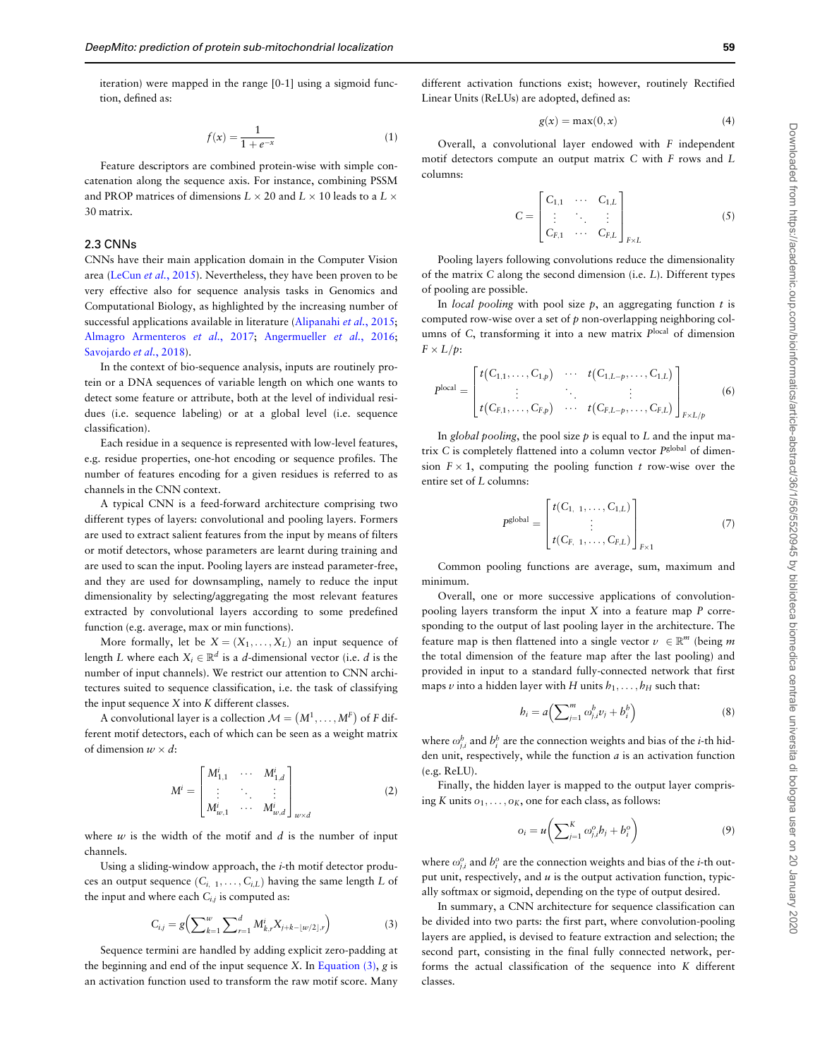iteration) were mapped in the range [0-1] using a sigmoid function, defined as:

$$
f(x) = \frac{1}{1 + e^{-x}}
$$
 (1)

Feature descriptors are combined protein-wise with simple concatenation along the sequence axis. For instance, combining PSSM and PROP matrices of dimensions  $L \times 20$  and  $L \times 10$  leads to a  $L \times$ 30 matrix.

# 2.3 CNNs

CNNs have their main application domain in the Computer Vision area ([LeCun](#page-7-0) et al., 2015). Nevertheless, they have been proven to be very effective also for sequence analysis tasks in Genomics and Computational Biology, as highlighted by the increasing number of successful applications available in literature [\(Alipanahi](#page-7-0) et al., 2015; [Almagro Armenteros](#page-7-0) et al., 2017; [Angermueller](#page-7-0) et al., 2016; [Savojardo](#page-8-0) et al., 2018).

In the context of bio-sequence analysis, inputs are routinely protein or a DNA sequences of variable length on which one wants to detect some feature or attribute, both at the level of individual residues (i.e. sequence labeling) or at a global level (i.e. sequence classification).

Each residue in a sequence is represented with low-level features, e.g. residue properties, one-hot encoding or sequence profiles. The number of features encoding for a given residues is referred to as channels in the CNN context.

A typical CNN is a feed-forward architecture comprising two different types of layers: convolutional and pooling layers. Formers are used to extract salient features from the input by means of filters or motif detectors, whose parameters are learnt during training and are used to scan the input. Pooling layers are instead parameter-free, and they are used for downsampling, namely to reduce the input dimensionality by selecting/aggregating the most relevant features extracted by convolutional layers according to some predefined function (e.g. average, max or min functions).

More formally, let be  $X = (X_1, \ldots, X_L)$  an input sequence of length L where each  $X_i \in \mathbb{R}^d$  is a d-dimensional vector (i.e. d is the number of input channels). We restrict our attention to CNN architectures suited to sequence classification, i.e. the task of classifying the input sequence  $X$  into  $K$  different classes.

A convolutional layer is a collection  $M = (M^1, \dots, M^F)$  of F different motif detectors, each of which can be seen as a weight matrix of dimension  $w \times d$ :

$$
M^{i} = \begin{bmatrix} M_{1,1}^{i} & \cdots & M_{1,d}^{i} \\ \vdots & \ddots & \vdots \\ M_{w,1}^{i} & \cdots & M_{w,d}^{i} \end{bmatrix}_{w \times d}
$$
 (2)

where  $w$  is the width of the motif and  $d$  is the number of input channels.

Using a sliding-window approach, the  $i$ -th motif detector produces an output sequence  $(C_{i, 1}, \ldots, C_{i,L})$  having the same length L of the input and where each  $C_{i,j}$  is computed as:

$$
C_{i,j} = g\left(\sum_{k=1}^{w} \sum_{r=1}^{d} M_{k,r}^{i} X_{j+k-\lfloor w/2 \rfloor,r}\right)
$$
(3)

Sequence termini are handled by adding explicit zero-padding at the beginning and end of the input sequence X. In Equation  $(3)$ , g is an activation function used to transform the raw motif score. Many

different activation functions exist; however, routinely Rectified Linear Units (ReLUs) are adopted, defined as:

$$
g(x) = \max(0, x) \tag{4}
$$

Overall, a convolutional layer endowed with F independent motif detectors compute an output matrix C with F rows and L columns:

$$
C = \begin{bmatrix} C_{1,1} & \cdots & C_{1,L} \\ \vdots & \ddots & \vdots \\ C_{F,1} & \cdots & C_{F,L} \end{bmatrix}_{F \times L}
$$
 (5)

Pooling layers following convolutions reduce the dimensionality of the matrix C along the second dimension (i.e. L). Different types of pooling are possible.

In local pooling with pool size  $p$ , an aggregating function  $t$  is computed row-wise over a set of  $p$  non-overlapping neighboring columns of C, transforming it into a new matrix Plocal of dimension  $F \times L/p$ :

$$
Plocal = \begin{bmatrix} t(C_{1,1}, \ldots, C_{1,p}) & \cdots & t(C_{1,L-p}, \ldots, C_{1,L}) \\ \vdots & \ddots & \vdots \\ t(C_{F,1}, \ldots, C_{F,p}) & \cdots & t(C_{F,L-p}, \ldots, C_{F,L}) \end{bmatrix}_{F \times L/p}
$$
(6)

In global pooling, the pool size  $p$  is equal to  $L$  and the input matrix C is completely flattened into a column vector  $P<sup>global</sup>$  of dimension  $F \times 1$ , computing the pooling function t row-wise over the entire set of L columns:

$$
P^{\text{global}} = \begin{bmatrix} t(C_{1, 1}, \dots, C_{1, L}) \\ \vdots \\ t(C_{F, 1}, \dots, C_{F, L}) \end{bmatrix}_{F \times 1}
$$
 (7)

Common pooling functions are average, sum, maximum and minimum.

Overall, one or more successive applications of convolutionpooling layers transform the input  $X$  into a feature map  $P$  corresponding to the output of last pooling layer in the architecture. The feature map is then flattened into a single vector  $v \in \mathbb{R}^m$  (being m the total dimension of the feature map after the last pooling) and provided in input to a standard fully-connected network that first maps v into a hidden layer with H units  $h_1, \ldots, h_H$  such that:

$$
b_i = a \left( \sum_{j=1}^{m} \omega_{j,i}^{b} v_j + b_i^{b} \right)
$$
 (8)

where  $\omega_{j,i}^b$  and  $b_i^b$  are the connection weights and bias of the *i*-th hidden unit, respectively, while the function  $a$  is an activation function (e.g. ReLU).

Finally, the hidden layer is mapped to the output layer comprising K units  $o_1, \ldots, o_K$ , one for each class, as follows:

$$
o_i = u\left(\sum_{j=1}^K \omega_{j,i}^o b_j + b_i^o\right) \tag{9}
$$

where  $\omega_{j,i}^o$  and  $b_i^o$  are the connection weights and bias of the *i*-th output unit, respectively, and  $u$  is the output activation function, typically softmax or sigmoid, depending on the type of output desired.

In summary, a CNN architecture for sequence classification can be divided into two parts: the first part, where convolution-pooling layers are applied, is devised to feature extraction and selection; the second part, consisting in the final fully connected network, performs the actual classification of the sequence into K different classes.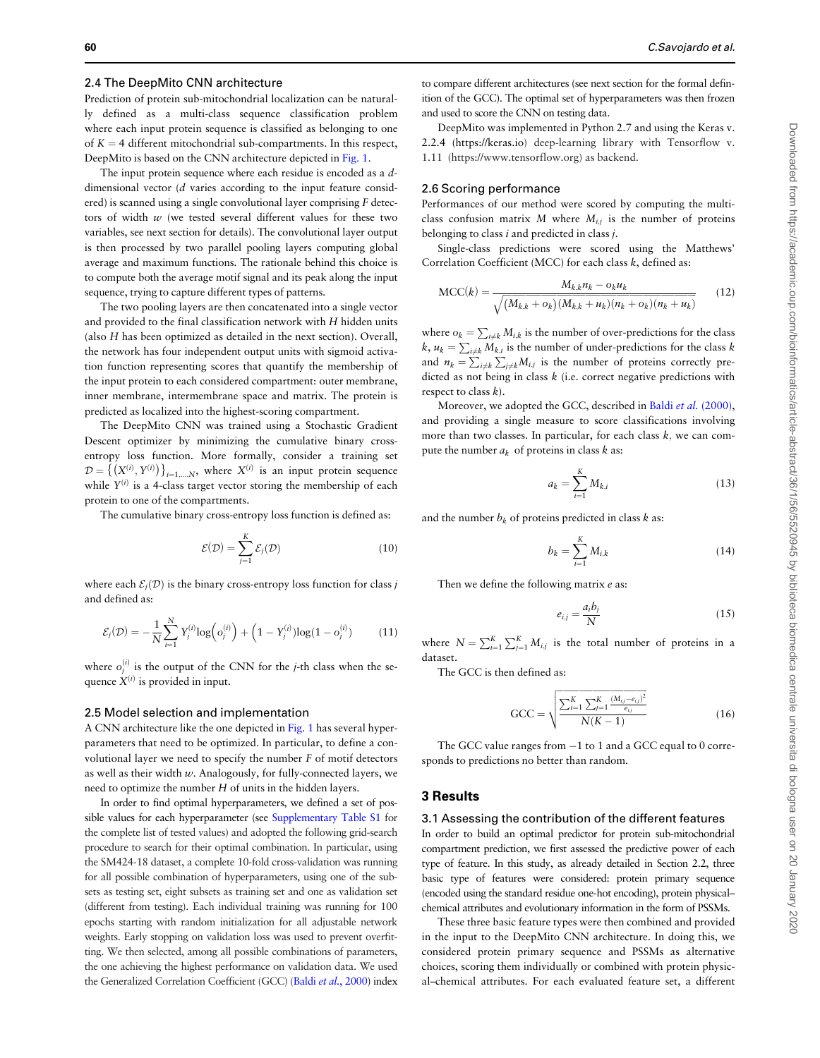#### <span id="page-4-0"></span>2.4 The DeepMito CNN architecture

Prediction of protein sub-mitochondrial localization can be naturally defined as a multi-class sequence classification problem where each input protein sequence is classified as belonging to one of  $K = 4$  different mitochondrial sub-compartments. In this respect, DeepMito is based on the CNN architecture depicted in [Fig. 1.](#page-5-0)

The input protein sequence where each residue is encoded as a ddimensional vector (d varies according to the input feature considered) is scanned using a single convolutional layer comprising F detectors of width  $w$  (we tested several different values for these two variables, see next section for details). The convolutional layer output is then processed by two parallel pooling layers computing global average and maximum functions. The rationale behind this choice is to compute both the average motif signal and its peak along the input sequence, trying to capture different types of patterns.

The two pooling layers are then concatenated into a single vector and provided to the final classification network with H hidden units (also H has been optimized as detailed in the next section). Overall, the network has four independent output units with sigmoid activation function representing scores that quantify the membership of the input protein to each considered compartment: outer membrane, inner membrane, intermembrane space and matrix. The protein is predicted as localized into the highest-scoring compartment.

The DeepMito CNN was trained using a Stochastic Gradient Descent optimizer by minimizing the cumulative binary crossentropy loss function. More formally, consider a training set  $\mathcal{D} = \{ (X^{(i)}, Y^{(i)}) \}_{i=1,\dots,N}$ , where  $X^{(i)}$  is an input protein sequence while  $Y^{(i)}$  is a 4-class target vector storing the membership of each protein to one of the compartments.

The cumulative binary cross-entropy loss function is defined as:

$$
\mathcal{E}(\mathcal{D}) = \sum_{j=1}^{K} \mathcal{E}_j(\mathcal{D})
$$
\n(10)

where each  $\mathcal{E}_i(\mathcal{D})$  is the binary cross-entropy loss function for class j and defined as:

$$
\mathcal{E}_j(\mathcal{D}) = -\frac{1}{N} \sum_{i=1}^N Y_j^{(i)} \log \left( o_j^{(i)} \right) + \left( 1 - Y_j^{(i)} \right) \log(1 - o_j^{(i)}) \tag{11}
$$

where  $o_j^{(i)}$  is the output of the CNN for the j-th class when the sequence  $X^{(i)}$  is provided in input.

## 2.5 Model selection and implementation

A CNN architecture like the one depicted in [Fig. 1](#page-5-0) has several hyperparameters that need to be optimized. In particular, to define a convolutional layer we need to specify the number F of motif detectors as well as their width  $w$ . Analogously, for fully-connected layers, we need to optimize the number H of units in the hidden layers.

In order to find optimal hyperparameters, we defined a set of possible values for each hyperparameter (see [Supplementary Table S1](https://academic.oup.com/bioinformatics/article-lookup/doi/10.1093/bioinformatics/btz512#supplementary-data) for the complete list of tested values) and adopted the following grid-search procedure to search for their optimal combination. In particular, using the SM424-18 dataset, a complete 10-fold cross-validation was running for all possible combination of hyperparameters, using one of the subsets as testing set, eight subsets as training set and one as validation set (different from testing). Each individual training was running for 100 epochs starting with random initialization for all adjustable network weights. Early stopping on validation loss was used to prevent overfitting. We then selected, among all possible combinations of parameters, the one achieving the highest performance on validation data. We used the Generalized Correlation Coefficient (GCC) (Baldi et al.[, 2000\)](#page-7-0) index

to compare different architectures (see next section for the formal definition of the GCC). The optimal set of hyperparameters was then frozen and used to score the CNN on testing data.

DeepMito was implemented in Python 2.7 and using the Keras v. 2.2.4 [\(https://keras.io](https://keras.io)) deep-learning library with Tensorflow v. 1.11 [\(https://www.tensorflow.org\)](https://www.tensorflow.org) as backend.

#### 2.6 Scoring performance

Performances of our method were scored by computing the multiclass confusion matrix  $M$  where  $M_{i,j}$  is the number of proteins belonging to class  $i$  and predicted in class  $j$ .

Single-class predictions were scored using the Matthews' Correlation Coefficient (MCC) for each class k, defined as:

$$
\text{MCC}(k) = \frac{M_{k,k}n_k - o_k u_k}{\sqrt{(M_{k,k} + o_k)(M_{k,k} + u_k)(n_k + o_k)(n_k + u_k)}}
$$
(12)

where  $o_k = \sum_{i \neq k} M_{i,k}$  is the number of over-predictions for the class  $k, u_k = \sum_{i \neq k} M_{k,i}$  is the number of under-predictions for the class k and  $n_k = \sum_{i \neq k} \sum_{j \neq k} M_{i,j}$  is the number of proteins correctly predicted as not being in class  $k$  (i.e. correct negative predictions with respect to class  $k$ ).

Moreover, we adopted the GCC, described in Baldi et al. [\(2000\),](#page-7-0) and providing a single measure to score classifications involving more than two classes. In particular, for each class  $k$ , we can compute the number  $a_k$  of proteins in class  $k$  as:

$$
a_k = \sum_{i=1}^K M_{k,i} \tag{13}
$$

and the number  $b_k$  of proteins predicted in class k as:

$$
b_k = \sum_{i=1}^{K} M_{i,k} \tag{14}
$$

Then we define the following matrix  $e$  as:

$$
e_{i,j} = \frac{a_i b_j}{N} \tag{15}
$$

where  $N = \sum_{i=1}^{K} \sum_{j=1}^{K} M_{i,j}$  is the total number of proteins in a dataset.

The GCC is then defined as:

$$
\text{GCC} = \sqrt{\frac{\sum_{i=1}^{K} \sum_{j=1}^{K} \frac{(M_{ij} - e_{ij})^2}{e_{ij}}}{N(K-1)}}
$$
(16)

The GCC value ranges from -1 to 1 and a GCC equal to 0 corresponds to predictions no better than random.

#### 3 Results

#### 3.1 Assessing the contribution of the different features

In order to build an optimal predictor for protein sub-mitochondrial compartment prediction, we first assessed the predictive power of each type of feature. In this study, as already detailed in Section 2.2, three basic type of features were considered: protein primary sequence (encoded using the standard residue one-hot encoding), protein physical– chemical attributes and evolutionary information in the form of PSSMs.

These three basic feature types were then combined and provided in the input to the DeepMito CNN architecture. In doing this, we considered protein primary sequence and PSSMs as alternative choices, scoring them individually or combined with protein physical–chemical attributes. For each evaluated feature set, a different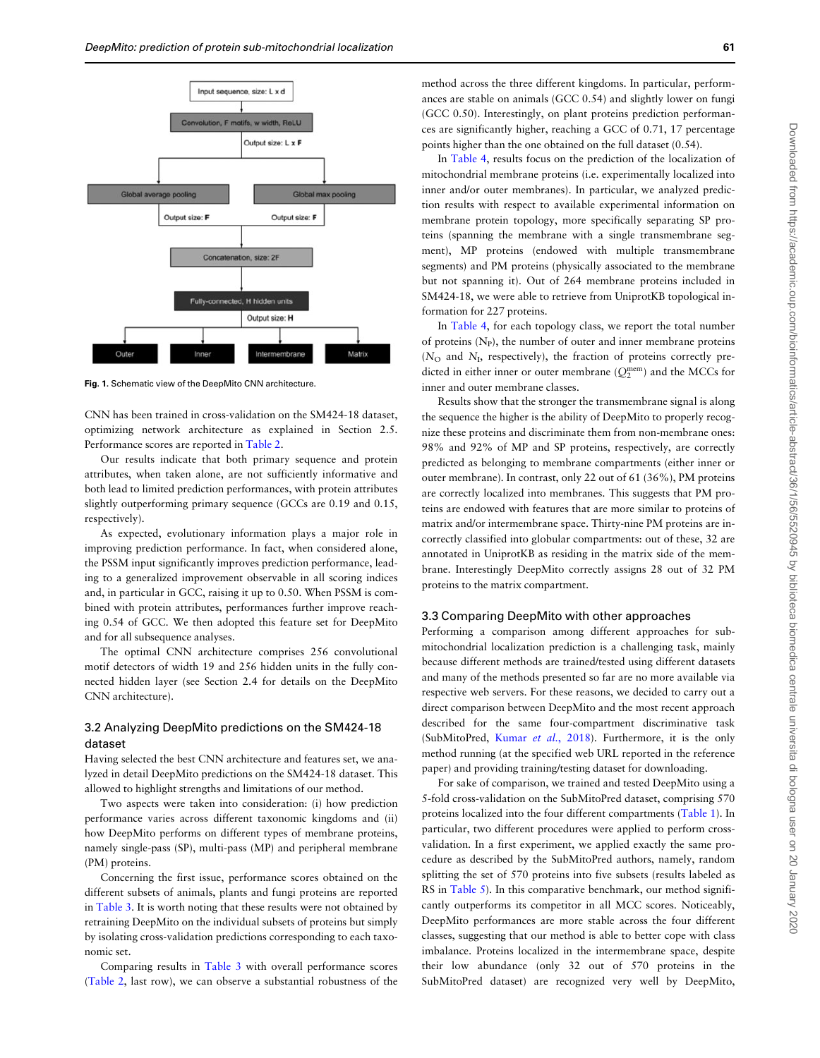<span id="page-5-0"></span>

Fig. 1. Schematic view of the DeepMito CNN architecture.

CNN has been trained in cross-validation on the SM424-18 dataset, optimizing network architecture as explained in Section 2.5. Performance scores are reported in [Table 2.](#page-6-0)

Our results indicate that both primary sequence and protein attributes, when taken alone, are not sufficiently informative and both lead to limited prediction performances, with protein attributes slightly outperforming primary sequence (GCCs are 0.19 and 0.15, respectively).

As expected, evolutionary information plays a major role in improving prediction performance. In fact, when considered alone, the PSSM input significantly improves prediction performance, leading to a generalized improvement observable in all scoring indices and, in particular in GCC, raising it up to 0.50. When PSSM is combined with protein attributes, performances further improve reaching 0.54 of GCC. We then adopted this feature set for DeepMito and for all subsequence analyses.

The optimal CNN architecture comprises 256 convolutional motif detectors of width 19 and 256 hidden units in the fully connected hidden layer (see Section 2.4 for details on the DeepMito CNN architecture).

# 3.2 Analyzing DeepMito predictions on the SM424-18 dataset

Having selected the best CNN architecture and features set, we analyzed in detail DeepMito predictions on the SM424-18 dataset. This allowed to highlight strengths and limitations of our method.

Two aspects were taken into consideration: (i) how prediction performance varies across different taxonomic kingdoms and (ii) how DeepMito performs on different types of membrane proteins, namely single-pass (SP), multi-pass (MP) and peripheral membrane (PM) proteins.

Concerning the first issue, performance scores obtained on the different subsets of animals, plants and fungi proteins are reported in [Table 3](#page-6-0). It is worth noting that these results were not obtained by retraining DeepMito on the individual subsets of proteins but simply by isolating cross-validation predictions corresponding to each taxonomic set.

Comparing results in [Table 3](#page-6-0) with overall performance scores ([Table 2,](#page-6-0) last row), we can observe a substantial robustness of the

method across the three different kingdoms. In particular, performances are stable on animals (GCC 0.54) and slightly lower on fungi (GCC 0.50). Interestingly, on plant proteins prediction performances are significantly higher, reaching a GCC of 0.71, 17 percentage points higher than the one obtained on the full dataset (0.54).

In [Table 4](#page-6-0), results focus on the prediction of the localization of mitochondrial membrane proteins (i.e. experimentally localized into inner and/or outer membranes). In particular, we analyzed prediction results with respect to available experimental information on membrane protein topology, more specifically separating SP proteins (spanning the membrane with a single transmembrane segment), MP proteins (endowed with multiple transmembrane segments) and PM proteins (physically associated to the membrane but not spanning it). Out of 264 membrane proteins included in SM424-18, we were able to retrieve from UniprotKB topological information for 227 proteins.

In [Table 4,](#page-6-0) for each topology class, we report the total number of proteins  $(N_P)$ , the number of outer and inner membrane proteins  $(N<sub>O</sub>$  and  $N<sub>I</sub>$ , respectively), the fraction of proteins correctly predicted in either inner or outer membrane ( $Q_2^{\text{mem}}$ ) and the MCCs for inner and outer membrane classes.

Results show that the stronger the transmembrane signal is along the sequence the higher is the ability of DeepMito to properly recognize these proteins and discriminate them from non-membrane ones: 98% and 92% of MP and SP proteins, respectively, are correctly predicted as belonging to membrane compartments (either inner or outer membrane). In contrast, only 22 out of 61 (36%), PM proteins are correctly localized into membranes. This suggests that PM proteins are endowed with features that are more similar to proteins of matrix and/or intermembrane space. Thirty-nine PM proteins are incorrectly classified into globular compartments: out of these, 32 are annotated in UniprotKB as residing in the matrix side of the membrane. Interestingly DeepMito correctly assigns 28 out of 32 PM proteins to the matrix compartment.

#### 3.3 Comparing DeepMito with other approaches

Performing a comparison among different approaches for submitochondrial localization prediction is a challenging task, mainly because different methods are trained/tested using different datasets and many of the methods presented so far are no more available via respective web servers. For these reasons, we decided to carry out a direct comparison between DeepMito and the most recent approach described for the same four-compartment discriminative task (SubMitoPred, Kumar et al.[, 2018](#page-7-0)). Furthermore, it is the only method running (at the specified web URL reported in the reference paper) and providing training/testing dataset for downloading.

For sake of comparison, we trained and tested DeepMito using a 5-fold cross-validation on the SubMitoPred dataset, comprising 570 proteins localized into the four different compartments ([Table 1\)](#page-2-0). In particular, two different procedures were applied to perform crossvalidation. In a first experiment, we applied exactly the same procedure as described by the SubMitoPred authors, namely, random splitting the set of 570 proteins into five subsets (results labeled as RS in [Table 5\)](#page-6-0). In this comparative benchmark, our method significantly outperforms its competitor in all MCC scores. Noticeably, DeepMito performances are more stable across the four different classes, suggesting that our method is able to better cope with class imbalance. Proteins localized in the intermembrane space, despite their low abundance (only 32 out of 570 proteins in the SubMitoPred dataset) are recognized very well by DeepMito,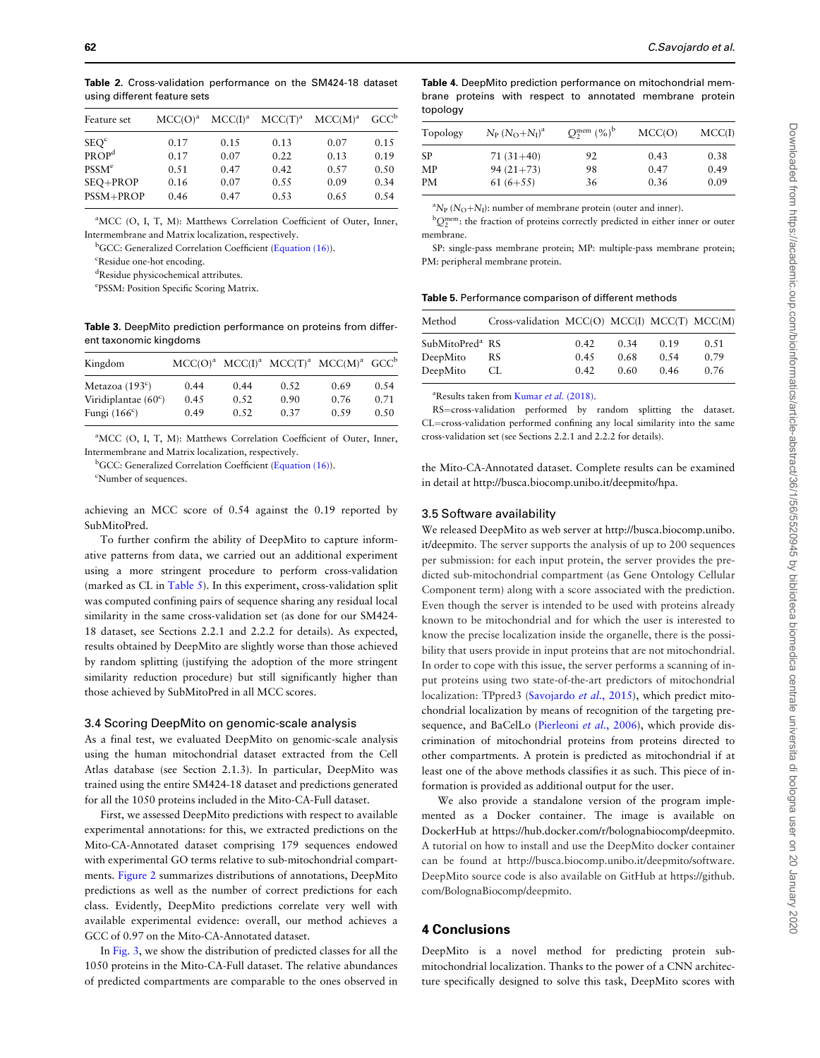Feature set  $MCC(O)^a$   $MCC(I)^a$   $MCC(T)^a$   $MCC(M)^a$   $GCC^b$  $SEQ<sup>c</sup>$  0.17 0.15 0.13 0.07 0.15  $PROP<sup>d</sup>$  0.17 0.07 0.22 0.13 0.19  $PSSM<sup>e</sup>$  0.51 0.47 0.42 0.57 0.50 SEO+PROP 0.16 0.07 0.55 0.09 0.34 PSSM+PROP 0.46 0.47 0.53 0.65 0.54

<span id="page-6-0"></span>Table 2. Cross-validation performance on the SM424-18 dataset using different feature sets

<sup>a</sup>MCC (O, I, T, M): Matthews Correlation Coefficient of Outer, Inner, Intermembrane and Matrix localization, respectively.

<sup>b</sup>GCC: Generalized Correlation Coefficient ([Equation \(16\)](#page-4-0)).

c Residue one-hot encoding.

d Residue physicochemical attributes.

e PSSM: Position Specific Scoring Matrix.

Table 3. DeepMito prediction performance on proteins from different taxonomic kingdoms

| Kingdom                      |      |      |      | $MCC(O)^a$ $MCC(I)^a$ $MCC(T)^a$ $MCC(M)^a$ $GCC^b$ |      |
|------------------------------|------|------|------|-----------------------------------------------------|------|
| Metazoa $(193^c)$            | 0.44 | 0.44 | 0.52 | 0.69                                                | 0.54 |
| Viridiplantae $(60^{\circ})$ | 0.45 | 0.52 | 0.90 | 0.76                                                | 0.71 |
| Fungi $(166^{\circ})$        | 0.49 | 0.52 | 0.37 | 0.59                                                | 0.50 |

<sup>a</sup>MCC (O, I, T, M): Matthews Correlation Coefficient of Outer, Inner, Intermembrane and Matrix localization, respectively.

<sup>b</sup>GCC: Generalized Correlation Coefficient ([Equation \(16\)](#page-4-0)).

c Number of sequences.

achieving an MCC score of 0.54 against the 0.19 reported by SubMitoPred.

To further confirm the ability of DeepMito to capture informative patterns from data, we carried out an additional experiment using a more stringent procedure to perform cross-validation (marked as CL in Table 5). In this experiment, cross-validation split was computed confining pairs of sequence sharing any residual local similarity in the same cross-validation set (as done for our SM424- 18 dataset, see Sections 2.2.1 and 2.2.2 for details). As expected, results obtained by DeepMito are slightly worse than those achieved by random splitting (justifying the adoption of the more stringent similarity reduction procedure) but still significantly higher than those achieved by SubMitoPred in all MCC scores.

#### 3.4 Scoring DeepMito on genomic-scale analysis

As a final test, we evaluated DeepMito on genomic-scale analysis using the human mitochondrial dataset extracted from the Cell Atlas database (see Section 2.1.3). In particular, DeepMito was trained using the entire SM424-18 dataset and predictions generated for all the 1050 proteins included in the Mito-CA-Full dataset.

First, we assessed DeepMito predictions with respect to available experimental annotations: for this, we extracted predictions on the Mito-CA-Annotated dataset comprising 179 sequences endowed with experimental GO terms relative to sub-mitochondrial compartments. [Figure 2](#page-7-0) summarizes distributions of annotations, DeepMito predictions as well as the number of correct predictions for each class. Evidently, DeepMito predictions correlate very well with available experimental evidence: overall, our method achieves a GCC of 0.97 on the Mito-CA-Annotated dataset.

In [Fig. 3,](#page-7-0) we show the distribution of predicted classes for all the 1050 proteins in the Mito-CA-Full dataset. The relative abundances of predicted compartments are comparable to the ones observed in Table 4. DeepMito prediction performance on mitochondrial membrane proteins with respect to annotated membrane protein topology

| Topology  | $N_P (N_O + N_I)^a$ | $Q_2^{\text{mem}}$ $(\%)^{\text{b}}$ | MCC(O) | MCC(I) |
|-----------|---------------------|--------------------------------------|--------|--------|
| <b>SP</b> | $71(31+40)$         | 92                                   | 0.43   | 0.38   |
| МP        | $94(21+73)$         | 98                                   | 0.47   | 0.49   |
| PМ        | $61(6+55)$          | 36                                   | 0.36   | 0.09   |

 ${}^{a}N_{P}$  ( $N_{O}+N_{I}$ ): number of membrane protein (outer and inner).

b<sub>Q<sup>mem</sup></sub>: the fraction of proteins correctly predicted in either inner or outer membrane.

SP: single-pass membrane protein; MP: multiple-pass membrane protein; PM: peripheral membrane protein.

| Table 5. Performance comparison of different methods |  |  |
|------------------------------------------------------|--|--|
|------------------------------------------------------|--|--|

| Method                      | Cross-validation MCC(O) MCC(I) MCC(T) MCC(M) |       |      |      |      |
|-----------------------------|----------------------------------------------|-------|------|------|------|
| SubMitoPred <sup>a</sup> RS |                                              | 0.42  | 0.34 | 0.19 | 0.51 |
| DeepMito                    | RS                                           | 0.45  | 0.68 | 0.54 | 0.79 |
| DeepMito                    | CL.                                          | 0.42. | 0.60 | 0.46 | 0.76 |

#### <sup>a</sup>Results taken from [Kumar](#page-7-0) et al. (2018).

RS=cross-validation performed by random splitting the dataset. CL=cross-validation performed confining any local similarity into the same cross-validation set (see Sections 2.2.1 and 2.2.2 for details).

the Mito-CA-Annotated dataset. Complete results can be examined in detail at [http://busca.biocomp.unibo.it/deepmito/hpa.](http://busca.biocomp.unibo.it/deepmito/hpa)

#### 3.5 Software availability

We released DeepMito as web server at [http://busca.biocomp.unibo.](http://busca.biocomp.unibo.it/deepmito) [it/deepmito](http://busca.biocomp.unibo.it/deepmito). The server supports the analysis of up to 200 sequences per submission: for each input protein, the server provides the predicted sub-mitochondrial compartment (as Gene Ontology Cellular Component term) along with a score associated with the prediction. Even though the server is intended to be used with proteins already known to be mitochondrial and for which the user is interested to know the precise localization inside the organelle, there is the possibility that users provide in input proteins that are not mitochondrial. In order to cope with this issue, the server performs a scanning of input proteins using two state-of-the-art predictors of mitochondrial localization: TPpred3 [\(Savojardo](#page-8-0) et al., 2015), which predict mitochondrial localization by means of recognition of the targeting pre-sequence, and BaCelLo [\(Pierleoni](#page-7-0) et al., 2006), which provide discrimination of mitochondrial proteins from proteins directed to other compartments. A protein is predicted as mitochondrial if at least one of the above methods classifies it as such. This piece of information is provided as additional output for the user.

We also provide a standalone version of the program implemented as a Docker container. The image is available on DockerHub at [https://hub.docker.com/r/bolognabiocomp/deepmito.](https://hub.docker.com/r/bolognabiocomp/deepmito) A tutorial on how to install and use the DeepMito docker container can be found at [http://busca.biocomp.unibo.it/deepmito/software.](http://busca.biocomp.unibo.it/deepmito/software) DeepMito source code is also available on GitHub at [https://github.](https://github.com/BolognaBiocomp/deepmito) [com/BolognaBiocomp/deepmito](https://github.com/BolognaBiocomp/deepmito).

## 4 Conclusions

DeepMito is a novel method for predicting protein submitochondrial localization. Thanks to the power of a CNN architecture specifically designed to solve this task, DeepMito scores with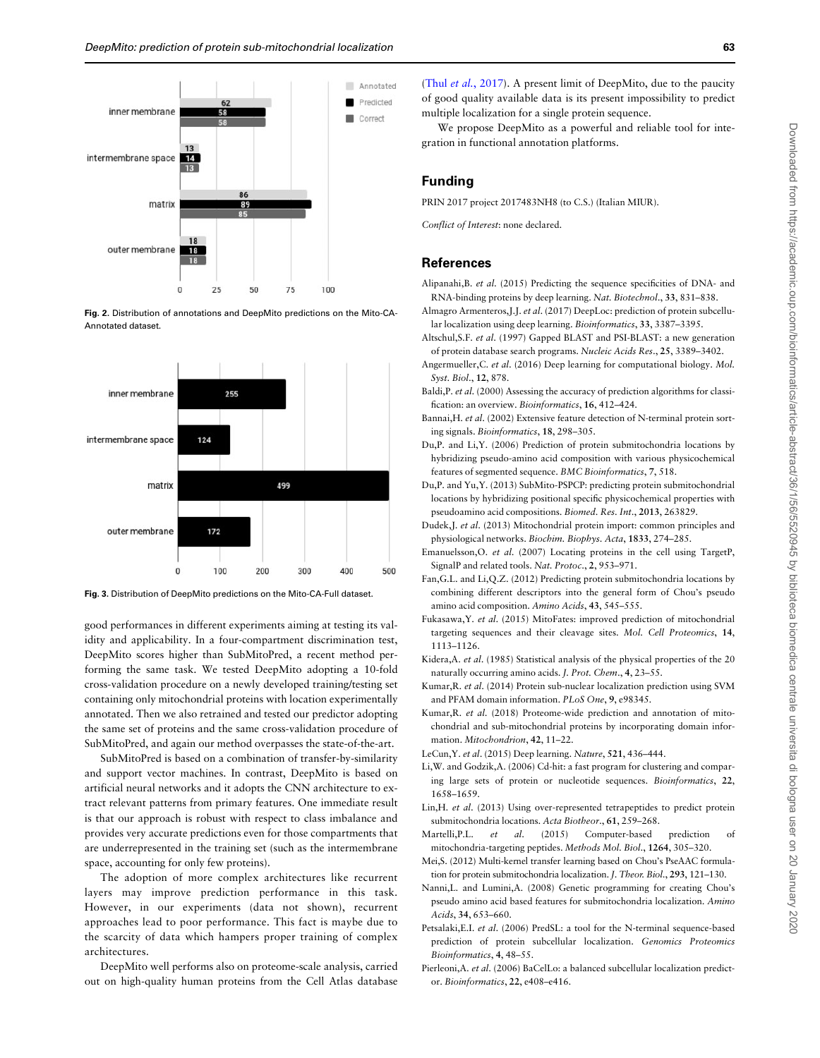<span id="page-7-0"></span>

Fig. 2. Distribution of annotations and DeepMito predictions on the Mito-CA-Annotated dataset.



Fig. 3. Distribution of DeepMito predictions on the Mito-CA-Full dataset.

good performances in different experiments aiming at testing its validity and applicability. In a four-compartment discrimination test, DeepMito scores higher than SubMitoPred, a recent method performing the same task. We tested DeepMito adopting a 10-fold cross-validation procedure on a newly developed training/testing set containing only mitochondrial proteins with location experimentally annotated. Then we also retrained and tested our predictor adopting the same set of proteins and the same cross-validation procedure of SubMitoPred, and again our method overpasses the state-of-the-art.

SubMitoPred is based on a combination of transfer-by-similarity and support vector machines. In contrast, DeepMito is based on artificial neural networks and it adopts the CNN architecture to extract relevant patterns from primary features. One immediate result is that our approach is robust with respect to class imbalance and provides very accurate predictions even for those compartments that are underrepresented in the training set (such as the intermembrane space, accounting for only few proteins).

The adoption of more complex architectures like recurrent layers may improve prediction performance in this task. However, in our experiments (data not shown), recurrent approaches lead to poor performance. This fact is maybe due to the scarcity of data which hampers proper training of complex architectures.

DeepMito well performs also on proteome-scale analysis, carried out on high-quality human proteins from the Cell Atlas database

(Thul et al.[, 2017](#page-8-0)). A present limit of DeepMito, due to the paucity of good quality available data is its present impossibility to predict multiple localization for a single protein sequence.

We propose DeepMito as a powerful and reliable tool for integration in functional annotation platforms.

# Funding

PRIN 2017 project 2017483NH8 (to C.S.) (Italian MIUR).

Conflict of Interest: none declared.

#### References

- Alipanahi,B. et al. (2015) Predicting the sequence specificities of DNA- and RNA-binding proteins by deep learning. Nat. Biotechnol., 33, 831–838.
- Almagro Armenteros, J.J. et al. (2017) DeepLoc: prediction of protein subcellular localization using deep learning. Bioinformatics, 33, 3387–3395.
- Altschul,S.F. et al. (1997) Gapped BLAST and PSI-BLAST: a new generation of protein database search programs. Nucleic Acids Res., 25, 3389–3402.
- Angermueller,C. et al. (2016) Deep learning for computational biology. Mol. Syst. Biol., 12, 878.
- Baldi,P. et al. (2000) Assessing the accuracy of prediction algorithms for classification: an overview. Bioinformatics, 16, 412–424.
- Bannai,H. et al. (2002) Extensive feature detection of N-terminal protein sorting signals. Bioinformatics, 18, 298–305.
- Du,P. and Li,Y. (2006) Prediction of protein submitochondria locations by hybridizing pseudo-amino acid composition with various physicochemical features of segmented sequence. BMC Bioinformatics, 7, 518.
- Du,P. and Yu,Y. (2013) SubMito-PSPCP: predicting protein submitochondrial locations by hybridizing positional specific physicochemical properties with pseudoamino acid compositions. Biomed. Res. Int., 2013, 263829.
- Dudek,J. et al. (2013) Mitochondrial protein import: common principles and physiological networks. Biochim. Biophys. Acta, 1833, 274–285.
- Emanuelsson,O. et al. (2007) Locating proteins in the cell using TargetP, SignalP and related tools. Nat. Protoc., 2, 953-971.
- Fan,G.L. and Li,Q.Z. (2012) Predicting protein submitochondria locations by combining different descriptors into the general form of Chou's pseudo amino acid composition. Amino Acids, 43, 545–555.
- Fukasawa,Y. et al. (2015) MitoFates: improved prediction of mitochondrial targeting sequences and their cleavage sites. Mol. Cell Proteomics, 14, 1113–1126.
- Kidera, A. et al. (1985) Statistical analysis of the physical properties of the 20 naturally occurring amino acids. J. Prot. Chem., 4, 23–55.
- Kumar,R. et al. (2014) Protein sub-nuclear localization prediction using SVM and PFAM domain information. PLoS One, 9, e98345.
- Kumar,R. et al. (2018) Proteome-wide prediction and annotation of mitochondrial and sub-mitochondrial proteins by incorporating domain information. Mitochondrion, 42, 11–22.
- LeCun,Y. et al. (2015) Deep learning. Nature, 521, 436–444.
- Li,W. and Godzik,A. (2006) Cd-hit: a fast program for clustering and comparing large sets of protein or nucleotide sequences. Bioinformatics, 22, 1658–1659.
- Lin,H. et al. (2013) Using over-represented tetrapeptides to predict protein submitochondria locations. Acta Biotheor., 61, 259–268.
- Martelli,P.L. et al. (2015) Computer-based prediction of mitochondria-targeting peptides. Methods Mol. Biol., 1264, 305–320.
- Mei,S. (2012) Multi-kernel transfer learning based on Chou's PseAAC formulation for protein submitochondria localization. J. Theor. Biol., 293, 121–130.
- Nanni,L. and Lumini,A. (2008) Genetic programming for creating Chou's pseudo amino acid based features for submitochondria localization. Amino Acids, 34, 653–660.
- Petsalaki, E.I. et al. (2006) PredSL: a tool for the N-terminal sequence-based prediction of protein subcellular localization. Genomics Proteomics Bioinformatics, 4, 48–55.
- Pierleoni,A. et al. (2006) BaCelLo: a balanced subcellular localization predictor. Bioinformatics, 22, e408–e416.